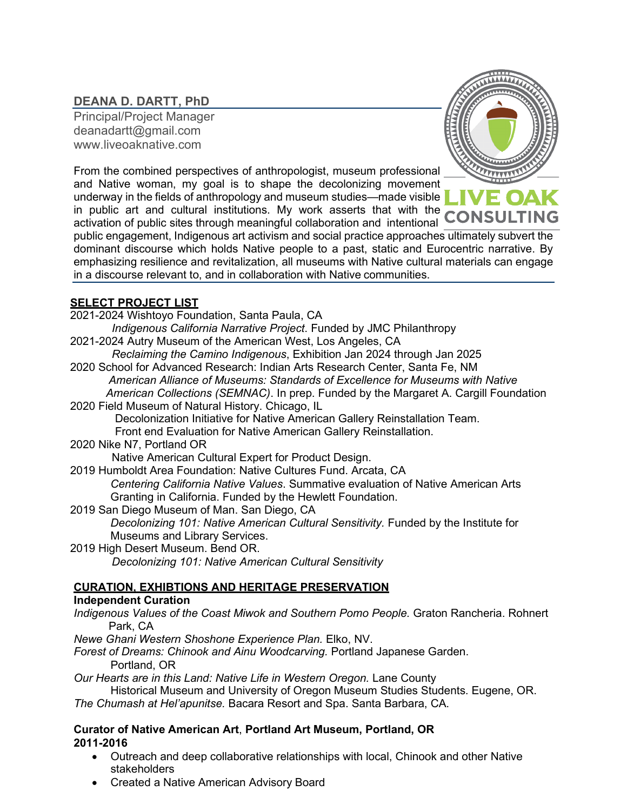# **DEANA D. DARTT, PhD**

Principal/Project Manager [deanadartt@gmail.com](mailto:deanadartt@gmail.com) [www.liveoaknative.com](http://www.liveoaknative.com/)



From the combined perspectives of anthropologist, museum professional and Native woman, my goal is to shape the decolonizing movement underway in the fields of anthropology and museum studies—made visible in public art and cultural institutions. My work asserts that with the activation of public sites through meaningful collaboration and intentional

public engagement, Indigenous art activism and social practice approaches ultimately subvert the dominant discourse which holds Native people to a past, static and Eurocentric narrative. By emphasizing resilience and revitalization, all museums with Native cultural materials can engage in a discourse relevant to, and in collaboration with Native communities.

### **SELECT PROJECT LIST**

| 2021-2024 Wishtoyo Foundation, Santa Paula, CA                                           |
|------------------------------------------------------------------------------------------|
| Indigenous California Narrative Project. Funded by JMC Philanthropy                      |
| 2021-2024 Autry Museum of the American West, Los Angeles, CA                             |
| Reclaiming the Camino Indigenous, Exhibition Jan 2024 through Jan 2025                   |
| 2020 School for Advanced Research: Indian Arts Research Center, Santa Fe, NM             |
| American Alliance of Museums: Standards of Excellence for Museums with Native            |
| American Collections (SEMNAC). In prep. Funded by the Margaret A. Cargill Foundation     |
| 2020 Field Museum of Natural History. Chicago, IL                                        |
| Decolonization Initiative for Native American Gallery Reinstallation Team.               |
| Front end Evaluation for Native American Gallery Reinstallation.                         |
| 2020 Nike N7, Portland OR                                                                |
| Native American Cultural Expert for Product Design.                                      |
| 2019 Humboldt Area Foundation: Native Cultures Fund. Arcata, CA                          |
| Centering California Native Values. Summative evaluation of Native American Arts         |
| Granting in California. Funded by the Hewlett Foundation.                                |
| 2019 San Diego Museum of Man. San Diego, CA                                              |
| Decolonizing 101: Native American Cultural Sensitivity. Funded by the Institute for      |
| Museums and Library Services.                                                            |
| 2019 High Desert Museum. Bend OR.                                                        |
| Decolonizing 101: Native American Cultural Sensitivity                                   |
| <b>CURATION. EXHIBTIONS AND HERITAGE PRESERVATION</b>                                    |
| <b>Independent Curation</b>                                                              |
| Indigenous Values of the Coast Miwok and Southern Pomo People. Graton Rancheria. Rohnert |
| Park, CA                                                                                 |
| Newe Ghani Western Shoshone Experience Plan. Elko, NV.                                   |
| Forest of Dreams: Chinook and Ainu Woodcarving. Portland Japanese Garden.                |

Portland, OR

*Our Hearts are in this Land: Native Life in Western Oregon.* **Lane County** 

Historical Museum and University of Oregon Museum Studies Students. Eugene, OR. *The Chumash at Hel'apunitse.* Bacara Resort and Spa. Santa Barbara, CA.

#### **Curator of Native American Art**, **Portland Art Museum, Portland, OR 2011-2016**

- Outreach and deep collaborative relationships with local, Chinook and other Native stakeholders
- Created a Native American Advisory Board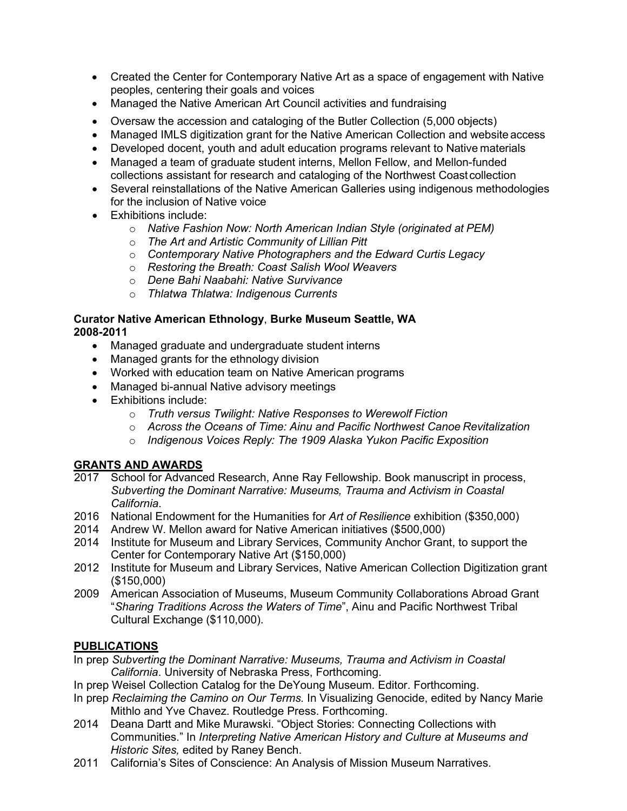- Created the Center for Contemporary Native Art as a space of engagement with Native peoples, centering their goals and voices
- Managed the Native American Art Council activities and fundraising
- Oversaw the accession and cataloging of the Butler Collection (5,000 objects)
- Managed IMLS digitization grant for the Native American Collection and website access
- Developed docent, youth and adult education programs relevant to Native materials
- Managed a team of graduate student interns, Mellon Fellow, and Mellon-funded collections assistant for research and cataloging of the Northwest Coastcollection
- Several reinstallations of the Native American Galleries using indigenous methodologies for the inclusion of Native voice
- Exhibitions include:
	- o *Native Fashion Now: North American Indian Style (originated at PEM)*
	- o *The Art and Artistic Community of Lillian Pitt*
	- o *Contemporary Native Photographers and the Edward Curtis Legacy*
	- o *Restoring the Breath: Coast Salish Wool Weavers*
	- o *Dene Bahi Naabahi: Native Survivance*
	- o *Thlatwa Thlatwa: Indigenous Currents*

#### **Curator Native American Ethnology**, **Burke Museum Seattle, WA 2008-2011**

- Managed graduate and undergraduate student interns
- Managed grants for the ethnology division
- Worked with education team on Native American programs
- Managed bi-annual Native advisory meetings
- Exhibitions include:
	- o *Truth versus Twilight: Native Responses to Werewolf Fiction*
	- o *Across the Oceans of Time: Ainu and Pacific Northwest Canoe Revitalization*
	- o *Indigenous Voices Reply: The 1909 Alaska Yukon Pacific Exposition*

## **GRANTS AND AWARDS**

- 2017 School for Advanced Research, Anne Ray Fellowship. Book manuscript in process, *Subverting the Dominant Narrative: Museums, Trauma and Activism in Coastal California*.
- 2016 National Endowment for the Humanities for *Art of Resilience* exhibition (\$350,000)
- 2014 Andrew W. Mellon award for Native American initiatives (\$500,000)
- 2014 Institute for Museum and Library Services, Community Anchor Grant, to support the Center for Contemporary Native Art (\$150,000)
- 2012 Institute for Museum and Library Services, Native American Collection Digitization grant (\$150,000)
- 2009 American Association of Museums, Museum Community Collaborations Abroad Grant "*Sharing Traditions Across the Waters of Time*", Ainu and Pacific Northwest Tribal Cultural Exchange (\$110,000).

## **PUBLICATIONS**

- In prep *Subverting the Dominant Narrative: Museums, Trauma and Activism in Coastal California*. University of Nebraska Press, Forthcoming.
- In prep Weisel Collection Catalog for the DeYoung Museum. Editor. Forthcoming.
- In prep *Reclaiming the Camino on Our Terms.* In Visualizing Genocide, edited by Nancy Marie Mithlo and Yve Chavez. Routledge Press. Forthcoming.
- 2014 Deana Dartt and Mike Murawski. "Object Stories: Connecting Collections with Communities." In *Interpreting Native American History and Culture at Museums and Historic Sites,* edited by Raney Bench.
- 2011 California's Sites of Conscience: An Analysis of Mission Museum Narratives.